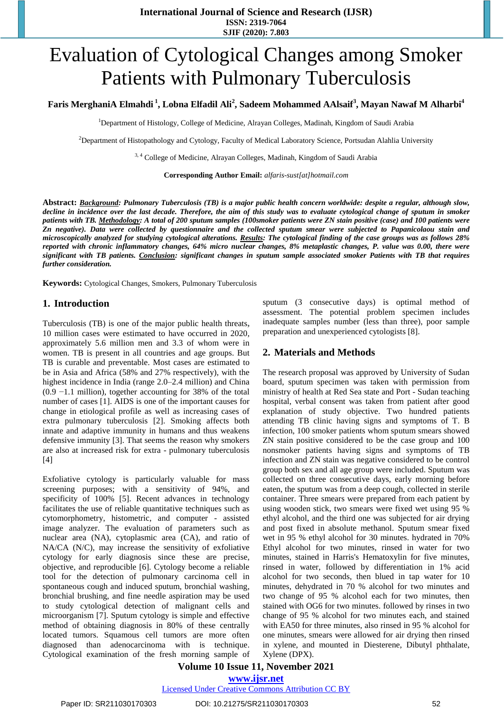# Evaluation of Cytological Changes among Smoker Patients with Pulmonary Tuberculosis

#### Faris MerghaniA Elmahdi <sup>1</sup>, Lobna Elfadil Ali<sup>2</sup>, Sadeem Mohammed AAlsaif<sup>3</sup>, Mayan Nawaf M Alharbi<sup>4</sup>

<sup>1</sup>Department of Histology, College of Medicine, Alrayan Colleges, Madinah, Kingdom of Saudi Arabia

<sup>2</sup>Department of Histopathology and Cytology, Faculty of Medical Laboratory Science, Portsudan Alahlia University

<sup>3, 4</sup> College of Medicine, Alrayan Colleges, Madinah, Kingdom of Saudi Arabia

**Corresponding Author Email:** *[alfaris-sust\[at\]hotmail.com](mailto:alfaris-sust@hotmail.com)*

**Abstract:** *Background: Pulmonary Tuberculosis (TB) is a major public health concern worldwide: despite a regular, although slow,*  decline in incidence over the last decade. Therefore, the aim of this study was to evaluate cytological change of sputum in smoker patients with TB. Methodology: A total of 200 sputum samples (100smoker patients were ZN stain positive (case) and 100 patients were Zn negative). Data were collected by questionnaire and the collected sputum smear were subjected to Papanicolaou stain and microscopically analyzed for studying cytological alterations. Results: The cytological finding of the case groups was as follows 28% *reported with chronic inflammatory changes, 64% micro nuclear changes, 8% metaplastic changes, P. value was 0.00, there were* significant with TB patients. Conclusion: significant changes in sputum sample associated smoker Patients with TB that requires *further consideration.* 

**Keywords:** Cytological Changes, Smokers, Pulmonary Tuberculosis

#### **1. Introduction**

Tuberculosis (TB) is one of the major public health threats**,**  10 million cases were estimated to have occurred in 2020, approximately 5.6 million men and 3.3 of whom were in women. TB is present in all countries and age groups. But TB is curable and preventable. Most cases are estimated to be in Asia and Africa (58% and 27% respectively), with the highest incidence in India (range 2.0–2.4 million) and China (0.9 −1.1 million), together accounting for 38% of the total number of cases [\[1\]](https://journals.plos.org/plosone/article?id=10.1371/journal.pone.0239333#pone.0239333.ref005). AIDS is one of the important causes for change in etiological profile as well as increasing cases of extra pulmonary tuberculosis [\[2\]](https://journals.plos.org/plosone/article?id=10.1371/journal.pone.0239333#pone.0239333.ref005). Smoking affects both innate and adaptive immunity in humans and thus weakens defensive immunity [\[3\]](https://journals.plos.org/plosone/article?id=10.1371/journal.pone.0239333#pone.0239333.ref004). That seems the reason why smokers are also at increased risk for extra - pulmonary tuberculosis [\[4\]](https://journals.plos.org/plosone/article?id=10.1371/journal.pone.0239333#pone.0239333.ref005)

Exfoliative cytology is particularly valuable for mass screening purposes; with a sensitivity of 94%, and specificity of 100% [\[5\]](https://journals.plos.org/plosone/article?id=10.1371/journal.pone.0239333#pone.0239333.ref005). Recent advances in technology facilitates the use of reliable quantitative techniques such as cytomorphometry, histometric, and computer - assisted image analyzer. The evaluation of parameters such as nuclear area (NA), cytoplasmic area (CA), and ratio of NA/CA (N/C), may increase the sensitivity of exfoliative cytology for early diagnosis since these are precise, objective, and reproducible [\[6\]](https://journals.plos.org/plosone/article?id=10.1371/journal.pone.0239333#pone.0239333.ref005). Cytology become a reliable tool for the detection of pulmonary carcinoma cell in spontaneous cough and induced sputum, bronchial washing, bronchial brushing, and fine needle aspiration may be used to study cytological detection of malignant cells and microorganism [\[7\]](https://journals.plos.org/plosone/article?id=10.1371/journal.pone.0239333#pone.0239333.ref005). Sputum cytology is simple and effective method of obtaining diagnosis in 80% of these centrally located tumors. Squamous cell tumors are more often diagnosed than adenocarcinoma with is technique. Cytological examination of the fresh morning sample of sputum (3 consecutive days) is optimal method of assessment. The potential problem specimen includes inadequate samples number (less than three), poor sample preparation and unexperienced cytologists [\[8\]](https://journals.plos.org/plosone/article?id=10.1371/journal.pone.0239333#pone.0239333.ref005).

#### **2. Materials and Methods**

The research proposal was approved by University of Sudan board, sputum specimen was taken with permission from ministry of health at Red Sea state and Port - Sudan teaching hospital, verbal consent was taken from patient after good explanation of study objective. Two hundred patients attending TB clinic having signs and symptoms of T. B infection, 100 smoker patients whom sputum smears showed ZN stain positive considered to be the case group and 100 nonsmoker patients having signs and symptoms of TB infection and ZN stain was negative considered to be control group both sex and all age group were included. Sputum was collected on three consecutive days, early morning before eaten, the sputum was from a deep cough, collected in sterile container. Three smears were prepared from each patient by using wooden stick, two smears were fixed wet using 95 % ethyl alcohol, and the third one was subjected for air drying and post fixed in absolute methanol. Sputum smear fixed wet in 95 % ethyl alcohol for 30 minutes. hydrated in 70% Ethyl alcohol for two minutes, rinsed in water for two minutes, stained in Harris's Hematoxylin for five minutes, rinsed in water, followed by differentiation in 1% acid alcohol for two seconds, then blued in tap water for 10 minutes, dehydrated in 70 % alcohol for two minutes and two change of 95 % alcohol each for two minutes, then stained with OG6 for two minutes. followed by rinses in two change of 95 % alcohol for two minutes each, and stained with EA50 for three minutes, also rinsed in 95 % alcohol for one minutes, smears were allowed for air drying then rinsed in xylene, and mounted in Diesterene, Dibutyl phthalate, Xylene (DPX).

## **Volume 10 Issue 11, November 2021**

**www.ijsr.net**

Licensed Under Creative Commons Attribution CC BY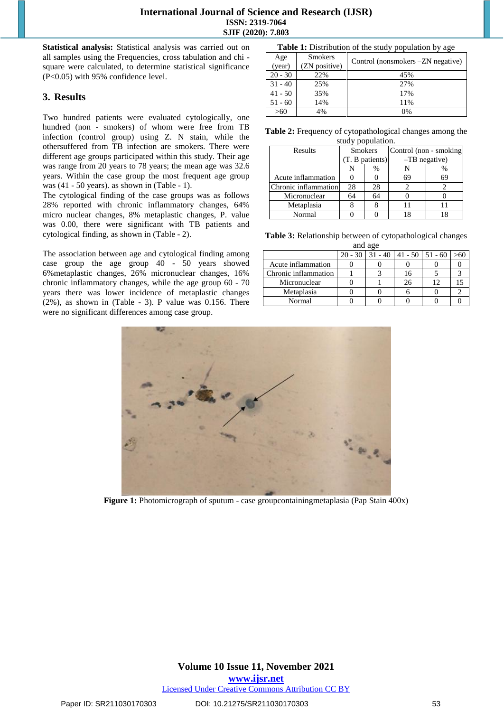#### **International Journal of Science and Research (IJSR) ISSN: 2319-7064 SJIF (2020): 7.803**

**Statistical analysis:** Statistical analysis was carried out on all samples using the Frequencies, cross tabulation and chi square were calculated, to determine statistical significance (P<0.05) with 95% confidence level.

#### **3. Results**

Two hundred patients were evaluated cytologically, one hundred (non - smokers) of whom were free from TB infection (control group) using Z. N stain, while the othersuffered from TB infection are smokers. There were different age groups participated within this study. Their age was range from 20 years to 78 years; the mean age was 32.6 years. Within the case group the most frequent age group was (41 - 50 years). as shown in (Table - 1).

The cytological finding of the case groups was as follows 28% reported with chronic inflammatory changes, 64% micro nuclear changes, 8% metaplastic changes, P. value was 0.00, there were significant with TB patients and cytological finding, as shown in (Table - 2).

The association between age and cytological finding among case group the age group 40 - 50 years showed 6%metaplastic changes, 26% micronuclear changes, 16% chronic inflammatory changes, while the age group 60 - 70 years there was lower incidence of metaplastic changes  $(2%)$ , as shown in (Table - 3). P value was 0.156. There were no significant differences among case group.

| Table 1: Distribution of the study population by age |  |  |  |  |  |
|------------------------------------------------------|--|--|--|--|--|
|------------------------------------------------------|--|--|--|--|--|

|                | . .                                |
|----------------|------------------------------------|
| <b>Smokers</b> | Control (nonsmokers - ZN negative) |
|                |                                    |
| 22%            | 45%                                |
| 25%            | 27%                                |
| 35%            | 17%                                |
| 14%            | 11%                                |
| 4%             | 0%                                 |
|                | (ZN positive)                      |

| <b>Table 2:</b> Frequency of cytopathological changes among the |                   |  |  |
|-----------------------------------------------------------------|-------------------|--|--|
|                                                                 | study population. |  |  |

| Results              | <b>Smokers</b>  |    | Control (non - smoking |    |  |
|----------------------|-----------------|----|------------------------|----|--|
|                      | (T. B patients) |    | $-TB$ negative)        |    |  |
|                      |                 | %  |                        | %  |  |
| Acute inflammation   |                 |    | 69                     | 69 |  |
| Chronic inflammation | 28              | 28 |                        |    |  |
| Micronuclear         | 64              |    |                        |    |  |
| Metaplasia           |                 |    |                        |    |  |
| Normal               |                 |    |                        |    |  |

**Table 3:** Relationship between of cytopathological changes

| and age              |           |  |                           |    |  |
|----------------------|-----------|--|---------------------------|----|--|
|                      | $20 - 30$ |  | $-40$   41 - 50   51 - 60 |    |  |
| Acute inflammation   |           |  |                           |    |  |
| Chronic inflammation |           |  | 16                        |    |  |
| Micronuclear         |           |  | 26                        | 12 |  |
| Metaplasia           |           |  |                           |    |  |
| Normal               |           |  |                           |    |  |



**Figure 1:** Photomicrograph of sputum - case groupcontainingmetaplasia (Pap Stain 400x)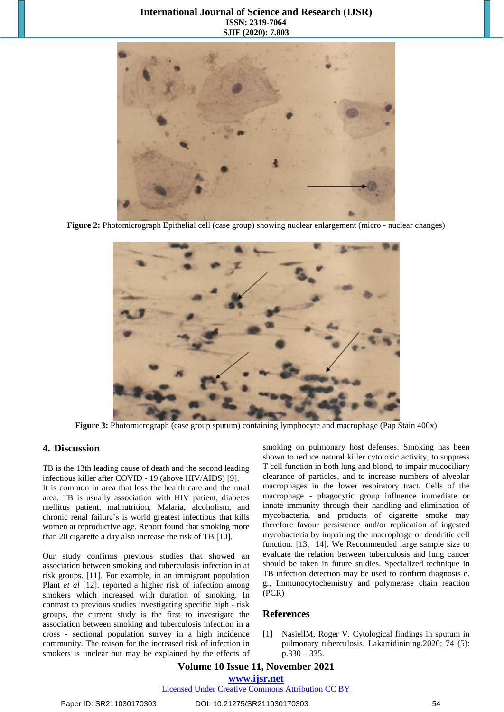#### **International Journal of Science and Research (IJSR) ISSN: 2319-7064 SJIF (2020): 7.803**



**Figure 2:** Photomicrograph Epithelial cell (case group) showing nuclear enlargement (micro - nuclear changes)



**Figure 3:** Photomicrograph (case group sputum) containing lymphocyte and macrophage (Pap Stain 400x)

#### **4. Discussion**

TB is the 13th leading cause of death and the second leading infectious killer after COVID - 19 (above HIV/AIDS) [\[9\]](https://journals.plos.org/plosone/article?id=10.1371/journal.pone.0239333#pone.0239333.ref005).

It is common in area that loss the health care and the rural area. TB is usually association with HIV patient, diabetes mellitus patient, malnutrition, Malaria, alcoholism, and chronic renal failure's is world greatest infectious that kills women at reproductive age. Report found that smoking more than 20 cigarette a day also increase the risk of TB [\[10\]](https://journals.plos.org/plosone/article?id=10.1371/journal.pone.0239333#pone.0239333.ref005).

Our study confirms previous studies that showed an association between smoking and tuberculosis infection in at risk groups. [\[11\]](https://journals.plos.org/plosone/article?id=10.1371/journal.pone.0239333#pone.0239333.ref005). For example, in an immigrant population Plant *et al* [\[12\]](https://journals.plos.org/plosone/article?id=10.1371/journal.pone.0239333#pone.0239333.ref005). reported a higher risk of infection among smokers which increased with duration of smoking. In contrast to previous studies investigating specific high - risk groups, the current study is the first to investigate the association between smoking and tuberculosis infection in a cross - sectional population survey in a high incidence community. The reason for the increased risk of infection in smokers is unclear but may be explained by the effects of smoking on pulmonary host defenses. Smoking has been shown to reduce natural killer cytotoxic activity, to suppress T cell function in both lung and blood, to impair mucociliary clearance of particles, and to increase numbers of alveolar macrophages in the lower respiratory tract. Cells of the macrophage - phagocytic group influence immediate or innate immunity through their handling and elimination of mycobacteria, and products of cigarette smoke may therefore favour persistence and/or replication of ingested mycobacteria by impairing the macrophage or dendritic cell function. [\[13,](https://journals.plos.org/plosone/article?id=10.1371/journal.pone.0239333#pone.0239333.ref005) 14]. We Recommended large sample size to evaluate the relation between tuberculosis and lung cancer should be taken in future studies. Specialized technique in TB infection detection may be used to confirm diagnosis e. g., Immunocytochemistry and polymerase chain reaction (PCR)

#### **References**

[1] NasiellM, Roger V. Cytological findings in sputum in pulmonary tuberculosis. Lakartidinining.2020; 74 (5):  $p.330 - 335.$ 

### **Volume 10 Issue 11, November 2021**

**www.ijsr.net**

Licensed Under Creative Commons Attribution CC BY